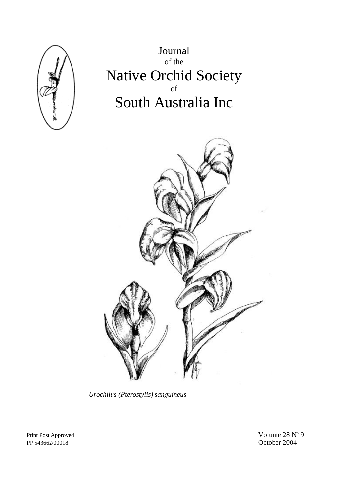

Journal of the Native Orchid Society of South Australia Inc



*Urochilus (Pterostylis) sanguineus* 

PP 543662/00018 October 2004

Print Post Approved Volume 28 N° 9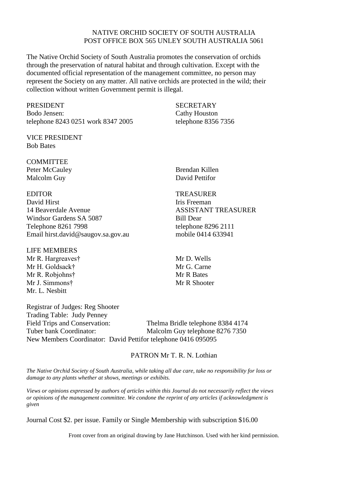#### NATIVE ORCHID SOCIETY OF SOUTH AUSTRALIA POST OFFICE BOX 565 UNLEY SOUTH AUSTRALIA 5061

The Native Orchid Society of South Australia promotes the conservation of orchids through the preservation of natural habitat and through cultivation. Except with the documented official representation of the management committee, no person may represent the Society on any matter. All native orchids are protected in the wild; their collection without written Government permit is illegal.

PRESIDENT SECRETARY Bodo Jensen: Cathy Houston telephone 8243 0251 work 8347 2005 telephone 8356 7356

VICE PRESIDENT Bob Bates

**COMMITTEE** Peter McCauley Brendan Killen Malcolm Guy David Pettifor

David Hirst **Iris** Freeman 14 Beaverdale Avenue ASSISTANT TREASURER Windsor Gardens SA 5087 Bill Dear Telephone 8261 7998 telephone 8296 2111 Email hirst.david@saugov.sa.gov.au mobile 0414 633941

LIFE MEMBERS

Mr R. Hargreaves† Mr D. Wells Mr H. Goldsack† Mr G. Carne Mr R. Robiohns† Mr R Bates Mr J. Simmons† Mr R Shooter Mr. L. Nesbitt

Registrar of Judges: Reg Shooter Trading Table: Judy Penney Field Trips and Conservation: Thelma Bridle telephone 8384 4174 Tuber bank Coordinator: Malcolm Guy telephone 8276 7350 New Members Coordinator: David Pettifor telephone 0416 095095

# PATRON Mr T. R. N. Lothian

*The Native Orchid Society of South Australia, while taking all due care, take no responsibility for loss or damage to any plants whether at shows, meetings or exhibits.* 

*Views or opinions expressed by authors of articles within this Journal do not necessarily reflect the views or opinions of the management committee. We condone the reprint of any articles if acknowledgment is given* 

Journal Cost \$2. per issue. Family or Single Membership with subscription \$16.00

Front cover from an original drawing by Jane Hutchinson. Used with her kind permission.

EDITOR TREASURER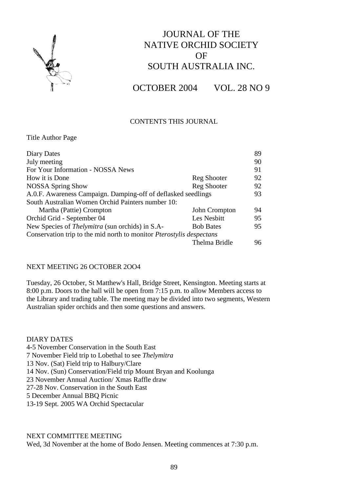

# JOURNAL OF THE NATIVE ORCHID SOCIETY OF SOUTH AUSTRALIA INC.

OCTOBER 2004 VOL. 28 NO 9

# CONTENTS THIS JOURNAL

Title Author Page

| Diary Dates                                                          |                  | 89  |
|----------------------------------------------------------------------|------------------|-----|
| July meeting                                                         |                  | 90  |
| For Your Information - NOSSA News                                    |                  | 91  |
| How it is Done                                                       | Reg Shooter      | 92  |
| <b>NOSSA Spring Show</b>                                             | Reg Shooter      | 92  |
| A.O.F. Awareness Campaign. Damping-off of deflasked seedlings        |                  | 93  |
| South Australian Women Orchid Painters number 10:                    |                  |     |
| Martha (Pattie) Crompton                                             | John Crompton    | 94  |
| Orchid Grid - September 04                                           | Les Nesbitt      | 95  |
| New Species of <i>Thelymitra</i> (sun orchids) in S.A-               | <b>Bob Bates</b> | 95  |
| Conservation trip to the mid north to monitor Pterostylis despectans |                  |     |
|                                                                      | Thelma Bridle    | 96. |

#### NEXT MEETING 26 OCTOBER 2OO4

Tuesday, 26 October, St Matthew's Hall, Bridge Street, Kensington. Meeting starts at 8:00 p.m. Doors to the hall will be open from 7:15 p.m. to allow Members access to the Library and trading table. The meeting may be divided into two segments, Western Australian spider orchids and then some questions and answers.

DIARY DATES 4-5 November Conservation in the South East 7 November Field trip to Lobethal to see *Thelymitra* 13 Nov. (Sat) Field trip to Halbury/Clare 14 Nov. (Sun) Conservation/Field trip Mount Bryan and Koolunga 23 November Annual Auction/ Xmas Raffle draw 27-28 Nov. Conservation in the South East 5 December Annual BBQ Picnic 13-19 Sept. 2005 WA Orchid Spectacular

#### NEXT COMMITTEE MEETING

Wed, 3d November at the home of Bodo Jensen. Meeting commences at 7:30 p.m.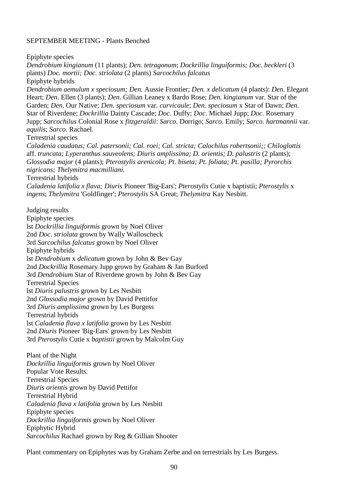#### SEPTEMBER MEETING - Plants Benched

Epiphyte species

*Dendrobium kingianum* (11 plants); *Den. tetragonum*; *Dockrillia linguiformis; Doc. beckleri* (3 plants) *Doc. mortii; Doc. striolata* (2 plants) *Sarcochilus falcatus* Epiphyte hybrids *Dendrobium aemulum x speciosum; Den.* Aussie Frontier; *Den. x delicatum* (4 plants): *Den*. Elegant Heart; *Den*. Ellen (3 plants); *Den*. Gillian Leaney x Bardo Rose; *Den. kingianum* var. Star of the Garden; *Den*. Our Native; *Den*. *speciosum* var. *curvicaule*; *Den. speciosum* x Star of Dawn; *Den*. Star of Riverdene; *Dockrillia* Dainty Cascade; *Doc*. Duffy; *Doc*. Michael Jupp; *Doc*. Rosemary Jupp; *Sarcochilus* Colonial Rose x *fitzgeraldii*: *Sarco*. Dorrigo; *Sarco*. Emily; *Sarco*. *hartmannii* var. *aquilis*; *Sarco*. Rachael. Terrestrial species *Caladenia caudatus; Cal. patersonii; Cal. roei; Cal. stricta; Calochilus robertsonii;; Chiloglottis* aff. *truncata; Lyperanthus sauveolens; Diuris amplissima; D. orientis; D. palustris* (2 plants); *Glossodia major* (4 plants); *Pterostylis arenicola; Pt. biseta; Pt. foliata; Pt. pusilla; Pyrorchis nigricans; Thelymitra macmilliani.* Terrestrial hybrids *Caladenia latifolia x flava; Diuris* Pioneer 'Big-Ears'; *Pterostylis* Cutie x ba*p*tistii; *Pterostylis* x *ingens*; *Thelymitra* 'Goldfinger'; *Pterostylis* SA Great; *Thelymitra* Kay Nesbitt. Judging results Epiphyte species lst *Dockrillia linguiformis* grown by Noel Oliver 2nd *Doc*. *striolata* grown by Wally Walloscheck 3rd *Sarcochilus falcatus* grown by Noel Oliver Epiphyte hybrids lst *Dendrobium* x *delicatum* grown by John & Bev Gay 2nd *Dockrillia* Rosemary Jupp grown by Graham & Jan Burford 3rd *Dendrobium* Star of Riverdene grown by John & Bev Gay Terrestrial Species lst *Diuris palustris* grown by Les Nesbitt 2nd *Glossodia major* grown by David Pettitfor 3rd *Diuris amplissima* grown by Les Burgess Terrestrial hybrids lst *Caladenia flava x latifolia* grown by Les Nesbitt 2nd *Diuris* Pioneer 'Big-Ears' grown by Les Nesbitt 3rd *Pterostylis* Cutie x *baptistii* grown by Malcolm Guy Plant of the Night *Dockrillia linguiformis* grown by Noel Oliver Popular Vote Results. Terrestrial Species *Diuris orientis* grown by David Pettifor Terrestrial Hybrid *Caladenia flava x latifolia* grown by Les Nesbitt Epiphyte species

*Dockrillia linguiformis* grown by Noel Oliver

Epiphytic Hybrid

*Sarcochilus* Rachael grown by Reg & Gillian Shooter

Plant commentary on Epiphytes was by Graham Zerbe and on terrestrials by Les Burgess.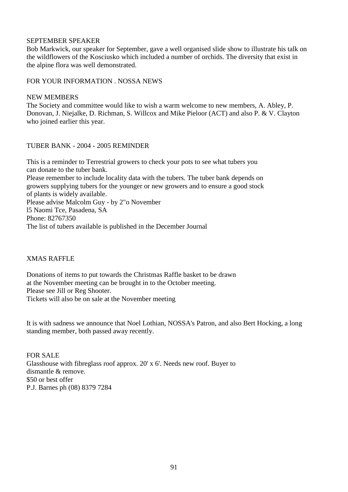# SEPTEMBER SPEAKER

Bob Markwick, our speaker for September, gave a well organised slide show to illustrate his talk on the wildflowers of the Kosciusko which included a number of orchids. The diversity that exist in the alpine flora was well demonstrated.

FOR YOUR INFORMATION . NOSSA NEWS

## NEW MEMBERS

The Society and committee would like to wish a warm welcome to new members, A. Abley, P. Donovan, J. Niejalke, D. Richman, S. Willcox and Mike Pieloor (ACT) and also P. & V. Clayton who joined earlier this year.

## TUBER BANK - 2004 - 2005 REMINDER

This is a reminder to Terrestrial growers to check your pots to see what tubers you can donate to the tuber bank. Please remember to include locality data with the tubers. The tuber bank depends on growers supplying tubers for the younger or new growers and to ensure a good stock of plants is widely available. Please advise Malcolm Guy - by 2"o November l5 Naomi Tce, Pasadena, SA Phone: 82767350 The list of tubers available is published in the December Journal

# XMAS RAFFLE

Donations of items to put towards the Christmas Raffle basket to be drawn at the November meeting can be brought in to the October meeting. Please see Jill or Reg Shooter. Tickets will also be on sale at the November meeting

It is with sadness we announce that Noel Lothian, NOSSA's Patron, and also Bert Hocking, a long standing member, both passed away recently.

FOR SALE Glasshouse with fibreglass roof approx. 20' x 6'. Needs new roof. Buyer to dismantle & remove. \$50 or best offer P.J. Barnes ph (08) 8379 7284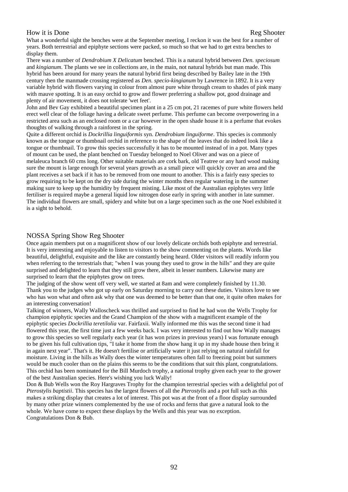#### How it is Done Reg Shooter

What a wonderful sight the benches were at the September meeting, I reckon it was the best for a number of years. Both terrestrial and epiphyte sections were packed, so much so that we had to get extra benches to display them.

There was a number of *Dendrobium X Delicatum* benched. This is a natural hybrid between *Den. speciosum* and *kingianum*. The plants we see in collections are, in the main, not natural hybrids but man made. This hybrid has been around for many years the natural hybrid first being described by Bailey late in the 19th century then the manmade crossing registered as *Den. specio-kingianum* by Lawrence in 1892. It is a very variable hybrid with flowers varying in colour from almost pure white through cream to shades of pink many with mauve spotting. It is an easy orchid to grow and flower preferring a shallow pot, good drainage and plenty of air movement, it does not tolerate 'wet feet'.

John and Bev Gay exhibited a beautiful specimen plant in a 25 cm pot, 21 racemes of pure white flowers held erect well clear of the foliage having a delicate sweet perfume. This perfume can become overpowering in a restricted area such as an enclosed room or a car however in the open shade house it is a perfume that evokes thoughts of walking through a rainforest in the spring.

Quite a different orchid is *Dockrillia linguiformis* syn. *Dendrobium linguiforme*. This species is commonly known as the tongue or thumbnail orchid in reference to the shape of the leaves that do indeed look like a tongue or thumbnail. To grow this species successfully it has to be mounted instead of in a pot. Many types of mount can be used, the plant benched on Tuesday belonged to Noel Oliver and was on a piece of melaleuca branch 60 cms long. Other suitable materials are cork bark, old Teatree or any hard wood making sure the mount is large enough for several years growth as a small piece will quickly cover an area and the plant receives a set back if it has to be removed from one mount to another. This is a fairly easy species to grow requiring to be kept on the dry side during the winter months then regular watering in the summer making sure to keep up the humidity by frequent misting. Like most of the Australian epiphytes very little fertiliser is required maybe a general liquid low nitrogen dose early in spring with another in late summer. The individual flowers are small, spidery and white but on a large specimen such as the one Noel exhibited it is a sight to behold.

#### NOSSA Spring Show Reg Shooter

Once again members put on a magnificent show of our lovely delicate orchids both epiphyte and terrestrial. It is very interesting and enjoyable to listen to visitors to the show commenting on the plants. Words like beautiful, delightful, exquisite and the like are constantly being heard. Older visitors will readily inform you when referring to the terrestrials that; "when I was young they used to grow in the hills" and they are quite surprised and delighted to learn that they still grow there, albeit in lesser numbers. Likewise many are surprised to learn that the epiphytes grow on trees.

The judging of the show went off very well, we started at 8am and were completely finished by 11.30. Thank you to the judges who got up early on Saturday morning to carry out these duties. Visitors love to see who has won what and often ask why that one was deemed to be better than that one, it quite often makes for an interesting conversation!

Talking of winners, Wally Walloscheck was thrilled and surprised to find he had won the Wells Trophy for champion epiphytic species and the Grand Champion of the show with a magnificent example of the epiphytic species *Dockrillia teretilolia* var. Fairfaxii. Wally informed me this was the second time it had flowered this year, the first time just a few weeks back. I was very interested to find out how Wally manages to grow this species so well regularly each year (it has won prizes in previous years) I was fortunate enough to be given his full cultivation tips, "I take it home from the show hang it up in my shade house then bring it in again next year". That's it. He doesn't fertilise or artificially water it just relying on natural rainfall for moisture. Living in the hills as Wally does the winter temperatures often fall to freezing point but summers would be much cooler than on the plains this seems to be the conditions that suit this plant, congratulations. This orchid has been nominated for the Bill Murdoch trophy, a national trophy given each year to the grower of the best Australian species. Here's wishing you luck Wally!

Don & Bub Wells won the Roy Hargraves Trophy for the champion terrestrial species with a delightful pot of *Pterostylis baptistii*. This species has the largest flowers of all the *Pterostylis* and a pot full such as this makes a striking display that creates a lot of interest. This pot was at the front of a floor display surrounded by many other prize winners complemented by the use of rocks and ferns that gave a natural look to the whole. We have come to expect these displays by the Wells and this year was no exception. Congratulations Don & Bub.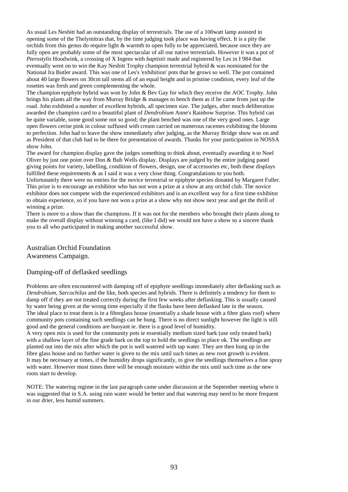As usual Les Nesbitt had an outstanding display of terrestrials. The use of a 100watt lamp assisted in opening some of the Thelymitras that, by the time judging took place was having effect. It is a pity the orchids from this genus do require light & warmth to open fully to be appreciated, because once they are fully open are probably some of the most spectacular of all our native terrestrials. However it was a pot of *Pterostylis* Hoodwink, a crossing of X Ingens with *baptistii* made and registered by Les in I 984 that eventually went on to win the Kay Nesbitt Trophy champion terrestrial hybrid & was nominated for the National Ira Butler award. This was one of Les's 'exhibition' pots that he grows so well. The pot contained about 40 large flowers on 30cm tall stems all of an equal height and in pristine condition, every leaf of the rosettes was fresh and green complementing the whole.

The champion epiphyte hybrid was won by John & Bev Gay for which they receive the AOC Trophy. John brings his plants all the way from Murray Bridge & manages to bench them as if he came from just up the road. John exhibited a number of excellent hybrids, all specimen size. The judges, after much deliberation awarded the champion card to a beautiful plant of *Dendrobium* Anne's Rainbow Surprise. This hybrid can be quite variable, some good some not so good; the plant benched was one of the very good ones. Large open flowers cerise pink in colour suffused with cream carried on numerous racemes exhibiting the blooms to perfection. John had to leave the show immediately after judging, as the Murray Bridge show was on and as President of that club had to be there for presentation of awards. Thanks for your participation in NOSSA show John.

The award for champion display gave the judges something to think about, eventually awarding it to Noel Oliver by just one point over Don & Bub Wells display. Displays are judged by the entire judging panel giving points for variety, labelling, condition of flowers, design, use of accessories etc, both these displays fulfilled these requirements & as I said it was a very close thing. Congratulations to you both.

Unfortunately there were no entries for the novice terrestrial or epiphyte species donated by Margaret Fuller. This prize is to encourage an exhibitor who has not won a prize at a show at any orchid club. The novice exhibitor does not compete with the experienced exhibitors and is an excellent way for a first time exhibitor to obtain experience, so if you have not won a prize at a show why not show next year and get the thrill of winning a prize.

There is more to a show than the champions. If it was not for the members who brought their plants along to make the overall display without winning a card, (like I did) we would not have a show so a sincere thank you to all who participated in making another successful show.

#### Australian Orchid Foundation Awareness Campaign.

#### Damping-off of deflasked seedlings

Problems are often encountered with damping off of epiphyte seedlings immediately after deflasking such as *Dendrobium, Sarcochilus* and the like, both species and hybrids. There is definitely a tendency for them to damp off if they are not treated correctly during the first few weeks after deflasking. This is usually caused by water being given at the wrong time especially if the flasks have been deflasked late in the season. The ideal place to treat them is in a fibreglass house (essentially a shade house with a fibre glass roof) where community pots containing such seedlings can be hung. There is no direct sunlight however the light is still good and the general conditions are buoyant ie. there is a good level of humidity.

A very open mix is used for the community pots ie essentially medium sized bark (use only treated bark) with a shallow layer of the fine grade bark on the top to hold the seedlings in place ok. The seedlings are planted out into the mix after which the pot is well watered with tap water. They are then hung up in the fibre glass house and no further water is given to the mix until such times as new root growth is evident. It may be necessary at times, if the humidity drops significantly, to give the seedlings themselves a fine spray with water. However most times there will be enough moisture within the mix until such time as the new roots start to develop.

NOTE: The watering regime in the last paragraph came under discussion at the September meeting where it was suggested that in S.A. using rain water would be better and that watering may need to be more frequent in our drier, less humid summers.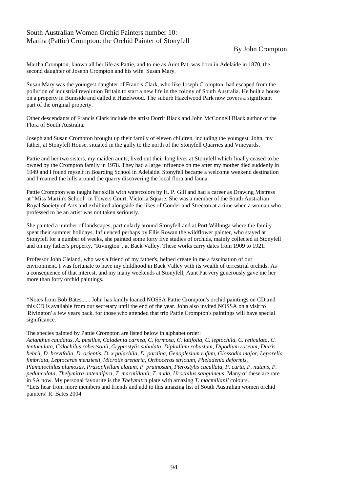#### South Australian Women Orchid Painters number 10: Martha (Pattie) Crompton: the Orchid Painter of Stonyfell

#### By John Crompton

Martha Crompton, known all her life as Pattie, and to me as Aunt Pat, was born in Adelaide in 1870, the second daughter of Joseph Crompton and his wife. Susan Mary.

Susan Mary was the youngest daughter of Francis Clark, who like Joseph Crompton, had escaped from the pollution of industrial revolution Britain to start a new life in the colony of South Australia. He built a house on a property in Bumside and called it Hazelwood. The suburb Hazelwood Park now covers a significant part of the original property.

Other descendants of Francis Clark include the artist Dorrit Black and John McConnell Black author of the Flora of South Australia.

Joseph and Susan Crompton brought up their family of eleven children, including the youngest, John, my father, at Stonyfell House, situated in the gully to the north of the Stonyfell Quarries and Vineyards.

Pattie and her two sisters, my maiden aunts, lived out their long lives at Stonyfell which finally ceased to be owned by the Crompton family in 1978. They had a large influence on me after my mother died suddenly in 1949 and I found myself in Boarding School in Adelaide. Stonyfell became a welcome weekend destination and I roamed the hills around the quarry discovering the local flora and fauna.

Pattie Crompton was taught her skills with watercolors by H. P. Gill and had a career as Drawing Mistress at "Miss Martin's School" in Towers Court, Victoria Square. She was a member of the South Australian Royal Society of Arts and exhibited alongside the likes of Conder and Streeton at a time when a woman who professed to be an artist was not taken seriously.

She painted a number of landscapes, particularly around Stonyfell and at Port Willunga where the family spent their summer holidays. Influenced perhaps by Ellis Rowan the wildflower painter, who stayed at Stonyfell for a number of weeks, she painted some forty five studies of orchids, mainly collected at Stonyfell and on my father's property, "Rivington", at Back Valley. These works carry dates from 1909 to 1921.

Professor John Cleland, who was a friend of my father's, helped create in me a fascination of our environment. I was fortunate to have my childhood in Back Valley with its wealth of terrestrial orchids. As a consequence of that interest, and my many weekends at Stonyfell, Aunt Pat very generously gave me her more than forty orchid paintings.

\*Notes from Bob Bates...... John has kindly loaned NOSSA Pattie Crompton's orchid paintings on CD and this CD is available from our secretary until the end of the year. John also invited NOSSA on a visit to 'Rivington' a few years back, for those who attended that trip Pattie Crompton's paintings will have special significance.

The species painted by Pattie Crompton are listed below in alphabet order:

*Acianthus caudatus, A. pusillus, Caladenia carnea, C. formosa, C. latifolia, C. leptochila, C. reticulata, C. tentaculata, Calochilus robertsonii, Cryptostylis subulata, Diplodium robustum, Dipodium roseum, Diuris behrii, D. brevifolia, D. orientis, D. x palachila, D. pardina, Genoplesium rufum, Glossodia major, Leporella fimbriata, Leptoceras menziesii, Microtis arenaria, Orthoceras strictum, Pheladenia deformis, Plumatochilus plumosus, Prasophyllum elatum, P. pruinosum, Pterostylis cucullata, P. curta, P. nutans, P. pedunculata, Thelymitra antennifera, T. macmillanii, T. nuda, Urochilus sanguineus*. Many of these are rare in SA now. My personal favourite is the *Thelymitra* plate with amazing *T. macmillanii* colours. \*Lets hear from more members and friends and add to this amazing list of South Australian women orchid painters! R. Bates 2004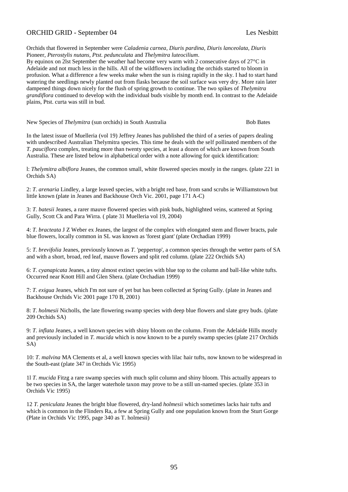#### ORCHID GRID - September 04 Les Nesbitt

Orchids that flowered in September were *Caladenia carnea, Diuris pardina, Diuris lanceolata, Diuris* Pioneer, *Pterostylis nutans, Ptst. pedunculata* and *Thelymitra luteocilium*.

By equinox on 2lst September the weather had become very warm with 2 consecutive days of 27°C in Adelaide and not much less in the hills. All of the wildflowers including the orchids started to bloom in profusion. What a difference a few weeks make when the sun is rising rapidly in the sky. I had to start hand watering the seedlings newly planted out from flasks because the soil surface was very dry. More rain later dampened things down nicely for the flush of spring growth to continue. The two spikes of *Thelymitra grandiflora* continued to develop with the individual buds visible by month end. In contrast to the Adelaide plains, Ptst. curta was still in bud.

New Species of *Thelymitra* (sun orchids) in South Australia Bob Bates

In the latest issue of Muelleria (vol 19) Jeffrey Jeanes has published the third of a series of papers dealing with undescribed Australian Thelymitra species. This time he deals with the self pollinated members of the *T. pauciflora* complex, treating more than twenty species, at least a dozen of which are known from South Australia. These are listed below in alphabetical order with a note allowing for quick identification:

l: *Thelymitra albiflora* Jeanes, the common small, white flowered species mostly in the ranges. (plate 221 in Orchids SA)

2: *T. arenaria* Lindley, a large leaved species, with a bright red base, from sand scrubs ie Williamstown but little known (plate in Jeanes and Backhouse Orch Vic. 2001, page 171 A-C)

3: *T. batesii* Jeanes, a rarer mauve flowered species with pink buds, highlighted veins, scattered at Spring Gully, Scott Ck and Para Wirra. ( plate 31 Muelleria vol 19, 2004)

4: *T. bracteata* J Z Weber ex Jeanes, the largest of the complex with elongated stem and flower bracts, pale blue flowers, locally common in SL was known as 'forest giant' (plate Orchadian 1999)

5: *T. brevifolia* Jeanes, previously known as *T*. 'peppertop', a common species through the wetter parts of SA and with a short, broad, red leaf, mauve flowers and split red column. (plate 222 Orchids SA)

6: *T. cyanapicata* Jeanes, a tiny almost extinct species with blue top to the column and ball-like white tufts. Occurred near Knott Hill and Glen Shera. (plate Orchadian 1999)

7: *T. exigua* Jeanes, which I'm not sure of yet but has been collected at Spring Gully. (plate in Jeanes and Backhouse Orchids Vic 2001 page 170 B, 2001)

8: *T. holmesii* Nicholls, the late flowering swamp species with deep blue flowers and slate grey buds. (plate 209 Orchids SA)

9: *T. inflata* Jeanes, a well known species with shiny bloom on the column. From the Adelaide Hills mostly and previously included in *T. mucida* which is now known to be a purely swamp species (plate 217 Orchids SA)

10: *T. malvina* MA Clements et al, a well known species with lilac hair tufts, now known to be widespread in the South-east (plate 347 in Orchids Vic 1995)

1l *T. mucida* Fitzg a rare swamp species with much split column and shiny bloom. This actually appears to be two species in SA, the larger waterhole taxon may prove to be a still un-named species. (plate 353 in Orchids Vic 1995)

12 *T. peniculata* Jeanes the bright blue flowered, dry-land *holmesii* which sometimes lacks hair tufts and which is common in the Flinders Ra, a few at Spring Gully and one population known from the Sturt Gorge (Plate in Orchids Vic 1995, page 340 as T. holmesii)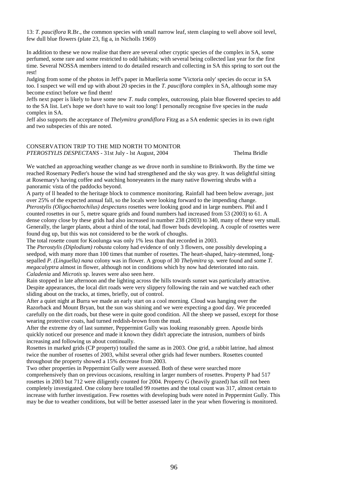13: *T. pauciflora* R.Br., the common species with small narrow leaf, stem clasping to well above soil level, few dull blue flowers (plate 23, fig a, in Nicholls 1969)

In addition to these we now realise that there are several other cryptic species of the complex in SA, some perfumed, some rare and some restricted to odd habitats; with several being collected last year for the first time. Several NOSSA members intend to do detailed research and collecting in SA this spring to sort out the rest!

Judging from some of the photos in Jeff's paper in Muelleria some 'Victoria only' species do occur in SA too. I suspect we will end up with about 20 species in the *T. pauciflora* complex in SA, although some may become extinct before we find them!

Jeffs next paper is likely to have some new *T. nuda* complex, outcrossing, plain blue flowered species to add to the SA list. Let's hope we don't have to wait too long! I personally recognise five species in the *nuda* complex in SA.

Jeff also supports the acceptance of *Thelymitra grandiflora* Fitzg as a SA endemic species in its own right and two subspecies of this are noted.

#### CONSERVATION TRIP TO THE MID NORTH TO MONITOR *PTEROSTYLIS DESPECTANS* - 31st July - lst August, 2004 Thelma Bridle

We watched an approaching weather change as we drove north in sunshine to Brinkworth. By the time we reached Rosemary Pedler's house the wind had strengthened and the sky was grey. It was delightful sitting at Rosemary's having coffee and watching honeyeaters in the many native flowering shrubs with a panoramic vista of the paddocks beyond.

A party of ll headed to the heritage block to commence monitoring. Rainfall had been below average, just over 25% of the expected annual fall, so the locals were looking forward to the impending change. *Pterostylis (Oligochaetochilus) despectans* rosettes were looking good and in large numbers. Phil and I counted rosettes in our 5, metre square grids and found numbers had increased from 53 (2003) to 61. A dense colony close by these grids had also increased in number 238 (2003) to 340, many of these very small. Generally, the larger plants, about a third of the total, had flower buds developing. A couple of rosettes were found dug up, but this was not considered to be the work of choughs.

The total rosette count for Koolunga was only 1% less than that recorded in 2003.

The *Pterostylis (Diplodium) robusta* colony had evidence of only 3 flowers, one possibly developing a seedpod, with many more than 100 times that number of rosettes. The heart-shaped, hairy-stemmed, longsepalled *P. (Linguella) nana* colony was in flower. A group of 30 *Thelymitra* sp. were found and some *T. megacalyptra* almost in flower, although not in conditions which by now had deteriorated into rain. *Caladenia* and *Microtis* sp. leaves were also seen here.

Rain stopped in late afternoon and the lighting across the hills towards sunset was particularly attractive. Despite appearances, the local dirt roads were very slippery following the rain and we watched each other sliding about on the tracks, at times, briefly, out of control.

After a quiet night at Burra we made an early start on a cool morning. Cloud was hanging over the Razorback and Mount Bryan, but the sun was shining and we were expecting a good day. We proceeded carefully on the dirt roads, but these were in quite good condition. All the sheep we passed, except for those wearing protective coats, had turned reddish-brown from the mud.

After the extreme dry of last summer, Peppermint Gully was looking reasonably green. Apostle birds quickly noticed our presence and made it known they didn't appreciate the intrusion, numbers of birds increasing and following us about continually.

Rosettes in marked grids (CP property) totalled the same as in 2003. One grid, a rabbit latrine, had almost twice the number of rosettes of 2003, whilst several other grids had fewer numbers. Rosettes counted throughout the property showed a 15% decrease from 2003.

Two other properties in Peppermint Gully were assessed. Both of these were searched more comprehensively than on previous occasions, resulting in larger numbers of rosettes. Property P had 517 rosettes in 2003 but 712 were diligently counted for 2004. Property G (heavily grazed) has still not been completely investigated. One colony here totalled 99 rosettes and the total count was 317, almost certain to increase with further investigation. Few rosettes with developing buds were noted in Peppermint Gully. This may be due to weather conditions, but will be better assessed later in the year when flowering is monitored.